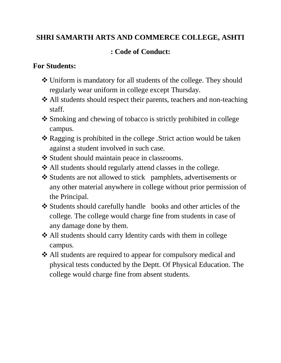## **SHRI SAMARTH ARTS AND COMMERCE COLLEGE, ASHTI**

## **: Code of Conduct:**

## **For Students:**

- Uniform is mandatory for all students of the college. They should regularly wear uniform in college except Thursday.
- ❖ All students should respect their parents, teachers and non-teaching staff.
- \* Smoking and chewing of tobacco is strictly prohibited in college campus.
- Ragging is prohibited in the college .Strict action would be taken against a student involved in such case.
- ❖ Student should maintain peace in classrooms.
- All students should regularly attend classes in the college.
- Students are not allowed to stick pamphlets, advertisements or any other material anywhere in college without prior permission of the Principal.
- Students should carefully handle books and other articles of the college. The college would charge fine from students in case of any damage done by them.
- All students should carry Identity cards with them in college campus.
- All students are required to appear for compulsory medical and physical tests conducted by the Deptt. Of Physical Education. The college would charge fine from absent students.